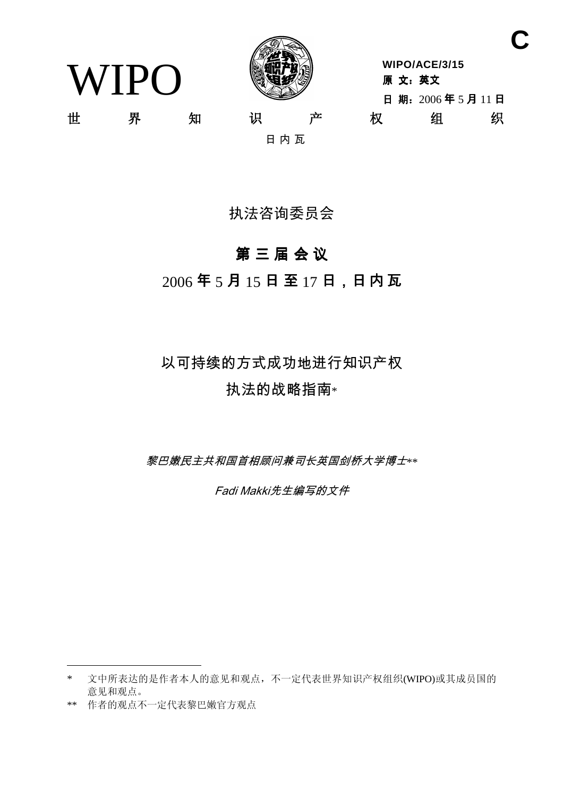WIPO



**WIPO/ACE/3/15** 原 文: 英文 日期: 2006年5月11日 世 界 知 识 产 权 组 织

日内瓦

# 执法咨询委员会

# 第三届会议

 $2006$ 年5月15日至17日,日内瓦

# 以可持续的方式成功地进行知识产权 执法的战略指南\*

黎巴嫩民主共和国首相顾问兼司长英国剑桥大学博士\*\*

Fadi Makki先生编写的文件

**C**

<sup>\*</sup> 文中所表达的是作者本人的意见和观点,不一定代表世界知识产权组织(WIPO)或其成员国的 意见和观点。

<sup>\*\*</sup> 作者的观点不一定代表黎巴嫩官方观点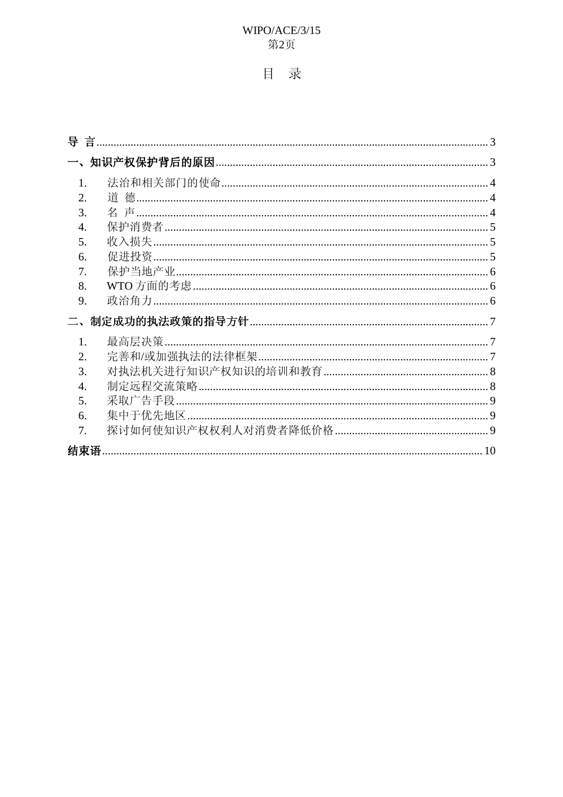## WIPO/ACE/3/15 第2页

# 目录

| $\mathbf{1}$ .   |  |
|------------------|--|
| $\overline{2}$ . |  |
| 3.               |  |
| $\overline{4}$ . |  |
| 5.               |  |
| 6.               |  |
| 7.               |  |
| 8.               |  |
| 9.               |  |
|                  |  |
| $1_{-}$          |  |
| $\overline{2}$ . |  |
| 3.               |  |
| 4.               |  |
| 5.               |  |
| 6.               |  |
| 7.               |  |
|                  |  |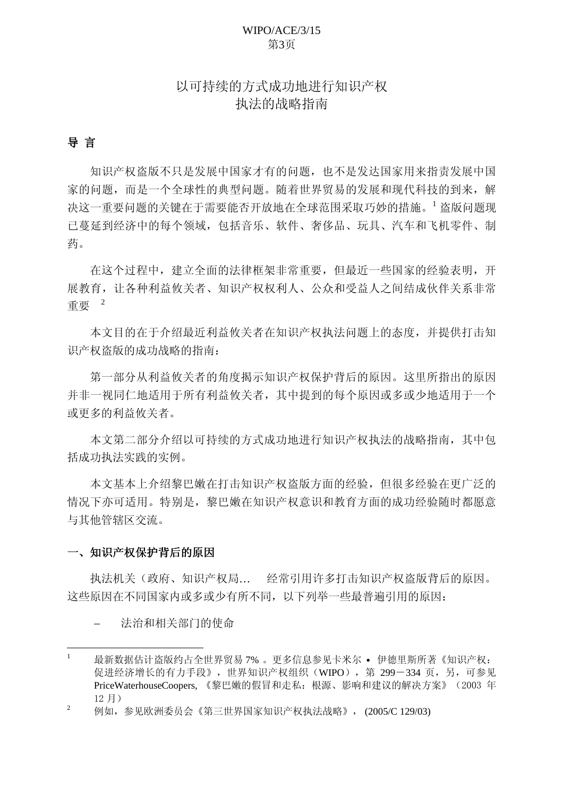## WIPO/ACE/3/15 第3页

## 以可持续的方式成功地进行知识产权 执法的战略指南

### <span id="page-2-0"></span>导 言

知识产权盗版不只是发展中国家才有的问题,也不是发达国家用来指责发展中国 家的问题,而是一个全球性的典型问题。随着世界贸易的发展和现代科技的到来,解 决这一重要问题的关键在于需要能否开放地在全球范围采取巧妙的措施。1 盗版问题现 已蔓延到经济中的每个领域, 包括音乐、软件、奢侈品、玩具、汽车和飞机零件、制 药。

在这个过程中, 建立全面的法律框架非常重要, 但最近一些国家的经验表明, 开 展教育, 让各种利益攸关者、知识产权权利人、公众和受益人之间结成伙伴关系非常  $~$ 重要 $~$  $^{2}$ 

本文目的在于介绍最近利益攸关者在知识产权执法问题上的态度,并提供打击知 识产权盗版的成功战略的指南:

第一部分从利益攸关者的角度揭示知识产权保护背后的原因。这里所指出的原因 并非一视同仁地适用于所有利益攸关者, 其中提到的每个原因或多或少地适用于一个 或更多的利益攸关者。

本文第二部分介绍以可持续的方式成功地进行知识产权执法的战略指南, 其中包 括成功执法实践的实例。

本文基本上介绍黎巴嫩在打击知识产权盗版方面的经验,但很多经验在更广泛的 情况下亦可适用。特别是, 黎巴嫩在知识产权意识和教育方面的成功经验随时都愿意 与其他管辖区交流。

#### 一、知识产权保护背后的原因

执法机关(政府、知识产权局... 经常引用许多打击知识产权盗版背后的原因。 这些原因在不同国家内或多或少有所不同, 以下列举一些最普遍引用的原因:

法治和相关部门的使命

最新数据估计盗版约占全世界贸易7% 。更多信息参见卡米尔 • 伊德里斯所著《知识产权: 促进经济增长的有力手段》,世界知识产权组织(WIPO), 第 299-334 页,另,可参见 PriceWaterhouseCoopers, 《黎巴嫩的假冒和走私: 根源、影响和建议的解决方案》 (2003年 12月)

 $2 \qquad$  例如,参见欧洲委员会《第三世界国家知识产权执法战略》,  $(2005/C 129/03)$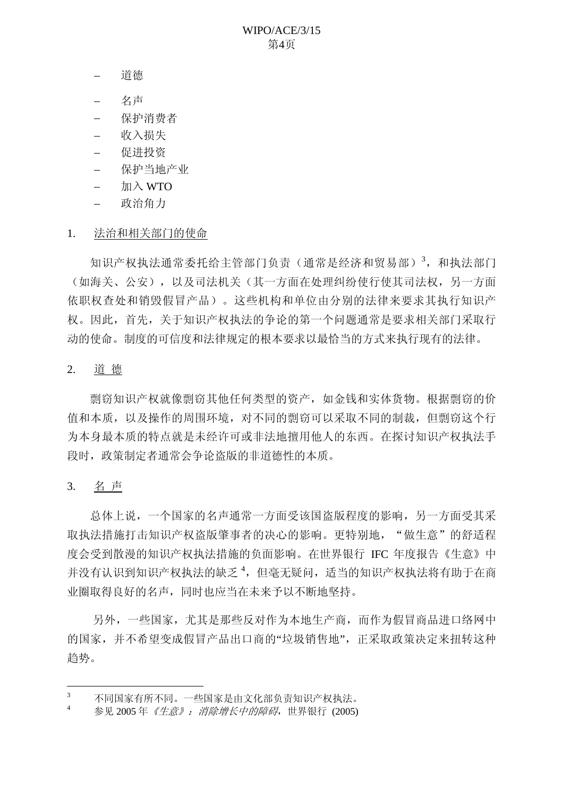- <span id="page-3-0"></span>道德
- 名声
- 保护消费者
- 收入损失
- 促讲投资
- 保护当地产业
- $\text{Im }\lambda$  WTO
- □ 政治角力
- 1. 法治和相关部门的使命

知识产权执法通常委托给主管部门负责(通常是经济和贸易部)<sup>3</sup>, 和执法部门 (如海关、公安),以及司法机关(其一方面在处理纠纷使行使其司法权,另一方面 依职权查处和销毁假冒产品)。这些机构和单位由分别的法律来要求其执行知识产 权。因此, 首先, 关于知识产权执法的争论的第一个问题通常是要求相关部门采取行 动的使命。制度的可信度和法律规定的根本要求以最恰当的方式来执行现有的法律。

2. 道德

剽窃知识产权就像剽窃其他任何类型的资产, 如金钱和实体货物。根据剽窃的价 值和本质, 以及操作的周围环境, 对不同的剽窃可以采取不同的制裁, 但剽窃这个行 为本身最本质的特点就是未经许可或非法地擅用他人的东西。在探讨知识产权执法手 段时, 政策制定者通常会争论盗版的非道德性的本质。

3. 名声

总体上说, 一个国家的名声通常一方面受该国盗版程度的影响, 另一方面受其采 取执法措施打击知识产权盗版肇事者的决心的影响。更特别地, "做生意"的舒适程 度会受到散漫的知识产权执法措施的负面影响。在世界银行 IFC 年度报告《生意》中 并没有认识到知识产权执法的缺乏<sup>4</sup>,但毫无疑问,适当的知识产权执法将有助于在商 业圈取得良好的名声, 同时也应当在未来予以不断地坚持。

另外,一些国家,尤其是那些反对作为本地生产商,而作为假冒商品进口络网中 的国家,并不希望变成假冒产品出口商的"垃圾销售地",正采取政策决定来扭转这种 趋势。

 $3$  不同国家有所不同。一些国家是由文化部负责知识产权执法。

 $4 \times 2005$ 年《生意》: 消除增长中的障碍, 世界银行 (2005)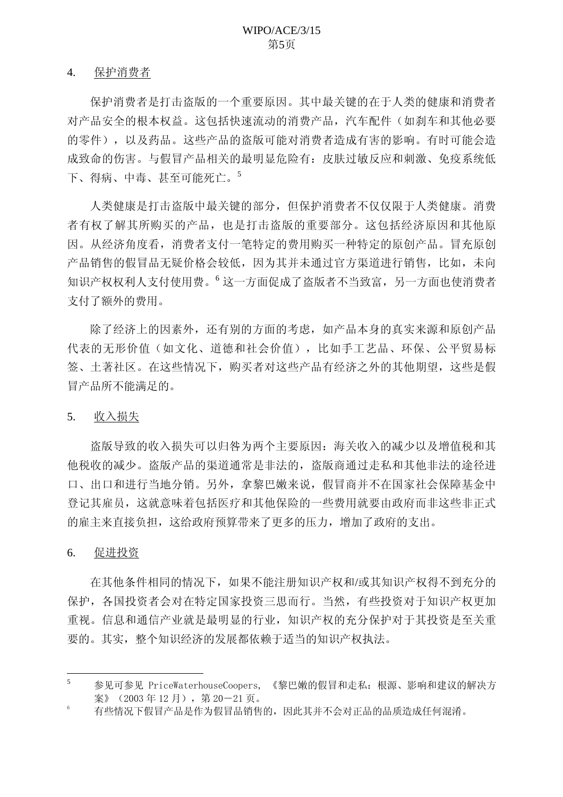#### <span id="page-4-0"></span>4. 保护消费者

保护消费者是打击盗版的一个重要原因。其中最关键的在于人类的健康和消费者 对产品安全的根本权益。这包括快速流动的消费产品,汽车配件(如剎车和其他必要 的零件),以及药品。这些产品的盗版可能对消费者造成有害的影响。有时可能会造 成致命的伤害。与假冒产品相关的最明显危险有:皮肤过敏反应和刺激、免疫系统低 下、得病、中毒、甚至可能死亡。<sup>5</sup>

人类健康是打击盗版中最关键的部分, 但保护消费者不仅仅限于人类健康。消费 者有权了解其所购买的产品, 也是打击盗版的重要部分。这包括经济原因和其他原 因。从经济角度看,消费者支付一笔特定的费用购买一种特定的原创产品。冒充原创 产品销售的假冒品无疑价格会较低,因为其并未通过官方渠道进行销售,比如,未向 知识产权权利人支付使用费。<sup>6</sup>这一方面促成了盗版者不当致富,另一方面也使消费者 支付了额外的费用。

除了经济上的因素外,还有别的方面的考虑,如产品本身的真实来源和原创产品 代表的无形价值(如文化、道德和社会价值),比如手工艺品、环保、公平留易标 签、土著社区。在这些情况下, 购买者对这些产品有经济之外的其他期望, 这些是假 冒产品所不能满足的。

5. 收入损失

盗版导致的收入损失可以归咎为两个主要原因: 海关收入的减少以及增值税和其 他税收的减少。洛版产品的渠道通常是非法的,洛版商通过走私和基他非法的途径进 口、出口和进行当地分销。另外,拿黎巴嫩来说,假冒商并不在国家社会保障基金中 登记其雇员,这就意味着包括医疗和其他保险的一些费用就要由政府而非这些非正式 的雇主来直接负担,这给政府预算带来了更多的压力,增加了政府的支出。

#### 6. 促进投资

在其他条件相同的情况下,如果不能注册知识产权和/或其知识产权得不到充分的 保护, 各国投资者会对在特定国家投资三思而行。当然, 有些投资对于知识产权更加 重视。信息和通信产业就是最明显的行业,知识产权的充分保护对于其投资是至关重 要的。其实, 整个知识经济的发展都依赖于适当的知识产权执法。

<sup>5</sup> 参见可参见 PriceWaterhouseCoopers, 《黎巴嫩的假冒和走私: 根源、影响和建议的解决方 案》 (2003年12月), 第20-21页。

 $\,6\,$ 有些情况下假冒产品是作为假冒品销售的,因此其并不会对正品的品质造成任何混淆。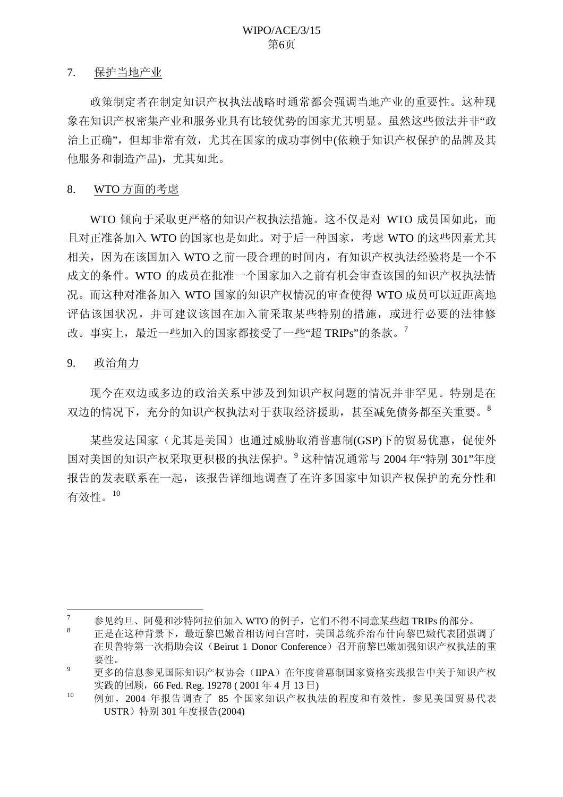#### <span id="page-5-0"></span>7. 保护当地产业

政策制定者在制定知识产权执法战略时通常都会强调当地产业的重要性。这种现 象在知识产权密集产业和服务业具有比较优势的国家尤其明显。虽然这些做法并非"政 治上正确",但却非常有效,尤其在国家的成功事例中(依赖于知识产权保护的品牌及其 他服务和制造产品),尤其如此。

#### 8. WTO 方面的考虑

WTO 倾向于采取更严格的知识产权执法措施。这不仅是对 WTO 成员国如此, 而 目对正准备加入 WTO 的国家也是如此。对于后一种国家,考虑 WTO 的这些因素尤其 相关, 因为在该国加入 WTO 之前一段合理的时间内, 有知识产权执法经验将是一个不 成文的条件。WTO 的成员在批准一个国家加入之前有机会审查该国的知识产权执法情 况。而这种对准备加入 WTO 国家的知识产权情况的审查使得 WTO 成员可以近距离地 评估该国状况,并可建议该国在加入前采取某些特别的措施,或进行必要的法律修 改。事实上,最近一些加入的国家都接受了一些"超 TRIPs"的条款。<sup>7</sup>

#### 9. 政治角力

现今在双边或多边的政治关系中涉及到知识产权问题的情况并非罕见。特别是在 双边的情况下, 充分的知识产权执法对于获取经济援助, 甚至减免债务都至关重要。<sup>8</sup>

某些发达国家(尤其是美国)也通过威胁取消普惠制(GSP)下的贸易优惠,促使外 国对美国的知识产权采取更积极的执法保护。<sup>9</sup>这种情况通常与 2004 年"特别 301"年度 报告的发表联系在一起,该报告详细地调查了在许多国家中知识产权保护的充分性和 有效性。 $^{10}$ 

 $\frac{7}{8}$  参见约旦、阿曼和沙特阿拉伯加入WTO 的例子,它们不得不同意某些超 TRIPs 的部分。

正是在这种背景下, 最近黎巴嫩首相访问白宫时, 美国总统乔治布什向黎巴嫩代表团强调了 在贝鲁特第一次捐助会议 (Beirut 1 Donor Conference) 召开前黎巴嫩加强知识产权执法的重 要性。

<sup>9</sup> 更多的信息参见国际知识产权协会(IIPA)在年度普惠制国家资格实践报告中关于知识产权 实践的回顾, 66 Fed. Reg. 19278 ( 2001 年 4 月 13 日)

 $10$  例如, 2004 年报告调查了 85 个国家知识产权执法的程度和有效性, 参见美国贸易代表 USTR) 特别 301 年度报告(2004)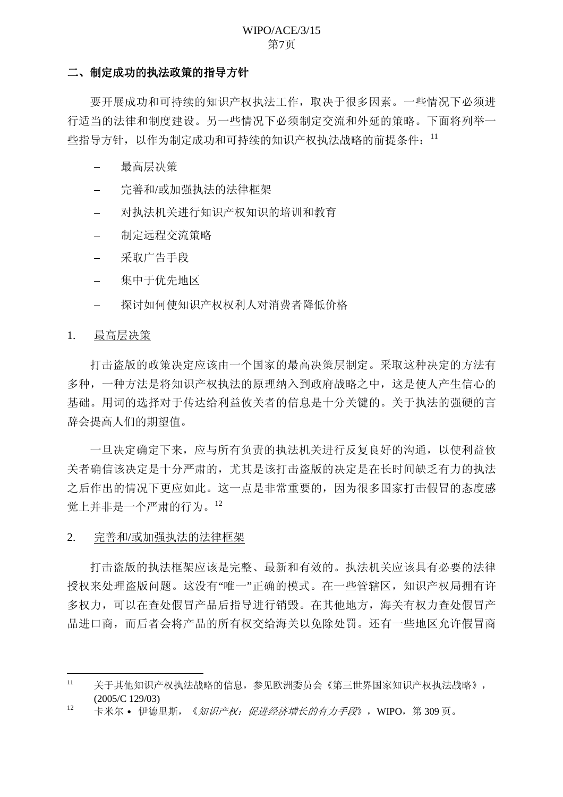#### WIPO/ACE/3/15 第7页

#### <span id="page-6-0"></span>二、制定成功的执法政策的指导方针

要开展成功和可持续的知识产权执法工作, 取决于很多因素。一些情况下必须进 行适当的法律和制度建设。另一些情况下必须制定交流和外延的策略。下面将列举一 些指导方针,以作为制定成功和可持续的知识产权执法战略的前提条件: 11

- 最高层决策
- 完善和/或加强执法的法律框架
- 对执法机关进行知识产权知识的培训和教育
- 制定远程交流策略
- 采取广告手段
- 集中干优先地区
- 探讨如何使知识产权权利人对消费者降低价格

#### 1. 最高层决策

打击盗版的政策决定应该由一个国家的最高决策层制定。采取这种决定的方法有 多种,一种方法是将知识产权执法的原理纳入到政府战略之中,这是使人产生信心的 基础。用词的选择对于传达给利益攸关者的信息是十分关键的。关于执法的强硬的言 辞会提高人们的期望值。

一旦决定确定下来, 应与所有负责的执法机关进行反复良好的沟通, 以使利益攸 关者确信该决定是十分严肃的, 尤其是该打击盗版的决定是在长时间缺乏有力的执法 之后作出的情况下更应如此。这一点是非常重要的,因为很多国家打击假冒的态度感 觉上并非是一个严肃的行为。12

#### 2. 完善和/或加强执法的法律框架

打击盗版的执法框架应该是完整、最新和有效的。执法机关应该具有必要的法律 授权来处理盗版问题。这没有"唯一"正确的模式。在一些管辖区,知识产权局拥有许 多权力,可以在查处假冒产品后指导进行销毁。在其他地方,海关有权力查处假冒产 品讲口商,而后者会将产品的所有权交给海关以免除处罚。还有一些地区允许假冒商

 $11$  关于其他知识产权执法战略的信息,参见欧洲委员会《第三世界国家知识产权执法战略》, (2005/C 129/03)

 $12$  卡米尔 • 伊德里斯, 《*知识产权: 促讲经济增长的有力手段*》, WIPO, 第309页。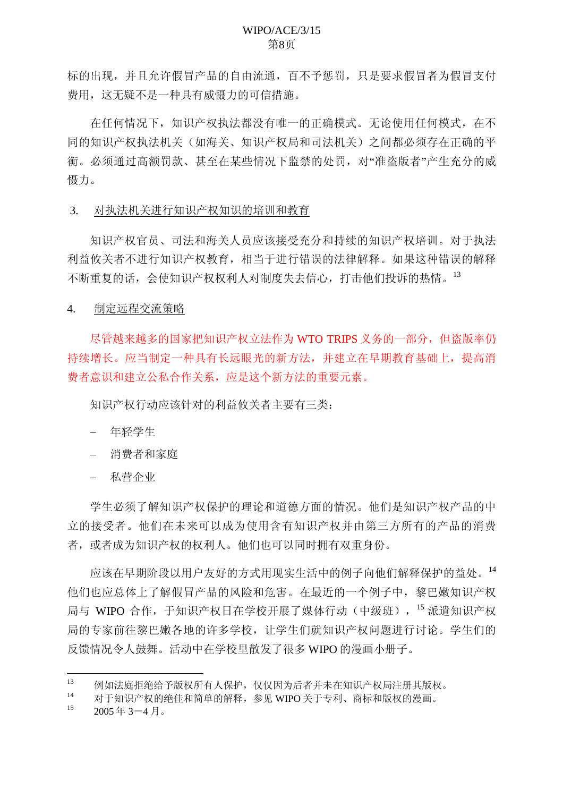<span id="page-7-0"></span>标的出现,并且允许假冒产品的自由流通,百不予惩罚,只是要求假冒者为假冒支付 费用, 这无疑不是一种具有威慑力的可信措施。

在任何情况下,知识产权执法都没有唯一的正确模式。无论使用任何模式, 在不 同的知识产权机剂的之间都必须存在正确的平 衡。必须通过高额罚款、甚至在某些情况下监禁的处罚, 对"准盗版者"产生充分的威 慑力。

#### 3. 对执法机关进行知识产权知识的培训和教育

知识产权官员、司法和海关人员应该接受充分和持续的知识产权培训。对于执法 利益攸关者不进行知识产权教育,相当于进行错误的法律解释。如果这种错误的解释 不断重复的话, 会使知识产权权利人对制度失去信心, 打击他们投诉的热情。<sup>13</sup>

4. 制定远程交流策略

尽管越来越多的国家把知识产权立法作为 WTO TRIPS 义务的一部分, 但盗版率仍 持续增长。应当制定一种具有长远眼光的新方法,并建立在早期教育基础上,提高消 费者意识和建立公私合作关系, 应是这个新方法的重要元素。

知识产权行动应该针对的利益攸关者主要有三类:

- 年轻学生
- 消费者和家庭
- 私营企业

学生必须了解知识产权保护的理论和道德方面的情况。他们是知识产权产品的中 立的接受者。他们在未来可以成为使用含有知识产权并由第三方所有的产品的消费 者, 或者成为知识产权的权利人。他们也可以同时拥有双重身份。

应该在早期阶段以用户友好的方式用现实生活中的例子向他们解释保护的益处。14 他们也应总体上了解假冒产品的风险和危害。在最近的一个例子中, 黎巴嫩知识产权 局与 WIPO 合作, 于知识产权日在学校开展了媒体行动(中级班), <sup>15</sup> 派遣知识产权 局的专家前往黎巴嫩各地的许多学校, 让学生们就知识产权问题进行讨论。学生们的 反馈情况今人鼓舞。活动中在学校里散发了很多 WIPO 的漫画小册子。

<sup>13</sup> 例如法庭拒绝给予版权所有人保护,仅仅因为后者并未在知识产权局注册其版权。

 $14$  对于知识产权的绝佳和简单的解释,参见 WIPO 关于专利、商标和版权的漫画。

 $2005 \n *4* 3<sup>-4</sup> *5* 3<sup>-1</sup>$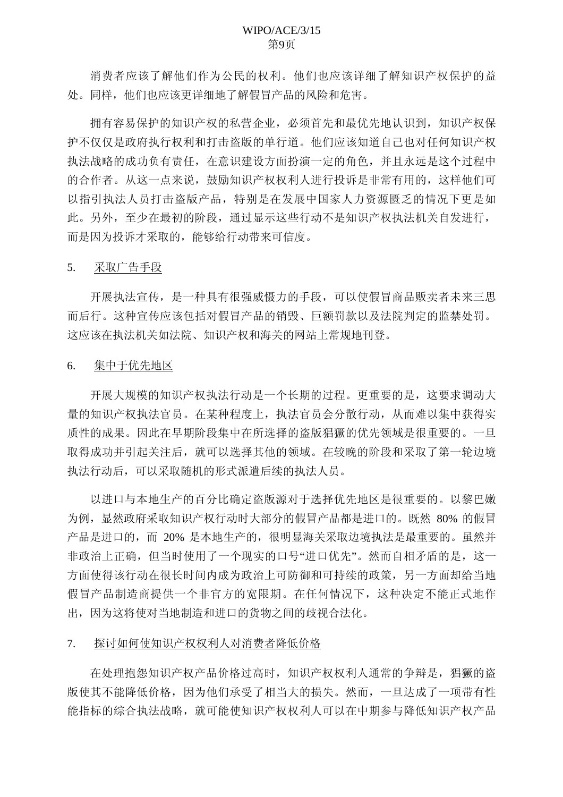<span id="page-8-0"></span>消费者应该了解他们作为公民的权利。他们也应该详细了解知识产权保护的益 处。同样,他们也应该更详细地了解假冒产品的风险和危害。

拥有容易保护的知识产权的私营企业, 必须首先和最优先地认识到, 知识产权保 护不仅仅是政府执行权利和打击盗版的单行道。他们应该知道自己也对任何知识产权 执法战略的成功负有责任, 在意识建设方面扮演一定的角色, 并且永远是这个过程中 的合作者。从这一点来说, 鼓励知识产权权利人进行投诉是非常有用的, 这样他们可 以指引执法人员打击盗版产品,特别是在发展中国家人力资源匮乏的情况下更是如 此。另外,至少在最初的阶段,通过显示这些行动不是知识产权执法机关自发进行, 而是因为投诉才采取的,能够给行动带来可信度。

#### 5. 采取广告手段

开展执法宣传, 是一种具有很强威慑力的手段, 可以使假冒商品贩卖者未来三思 而后行。这种宣传应该包括对假冒产品的销毁、巨额罚款以及法院判定的监禁处罚。 这应该在执法机关如法院、知识产权和海关的网站上常规地刊登。

#### 6. 集中于优先地区

开展大规模的知识产权执法行动是一个长期的过程。更重要的是,这要求调动大 量的知识产权执法官员。在某种程度上,执法官员会分散行动,从而难以集中获得实 质性的成果。因此在早期阶段集中在所选择的盗版猖獗的优先领域是很重要的。一旦 取得成功并引起关注后, 就可以选择其他的领域。在较晚的阶段和采取了第一轮边境 执法行动后, 可以采取随机的形式派遣后续的执法人员。

以进口与本地生产的百分比确定盗版源对于选择优先地区是很重要的。以黎巴嫩 为例,显然政府采取知识产权行动时大部分的假冒产品都是讲口的。既然 80% 的假冒 产品是进口的, 而 20% 是本地生产的, 很明显海关采取边境执法是最重要的。虽然并 非政治上正确, 但当时使用了一个现实的口号"讲口优先"。然而自相矛盾的是, 这一 方面使得该行动在很长时间内成为政治上可防御和可持续的政策,另一方面却给当地 假冒产品制造商提供一个非官方的宽限期。在任何情况下,这种决定不能正式地作 出, 因为这将使对当地制造和进口的货物之间的歧视合法化。

#### 7. 䅼བԩՓⶹ䆚ѻᴗᴗ߽Ҏᇍ⍜䌍㗙䰡ԢӋḐ

在处理抱怨知识产权产品价格过高时, 知识产权权利人通常的争辩是, 猖獗的盗 版使其不能降低价格,因为他们承受了相当大的损失。然而,一旦达成了一项带有性 能指标的综合执法战略, 就可能使知识产权权利人可以在中期参与降低知识产权产品